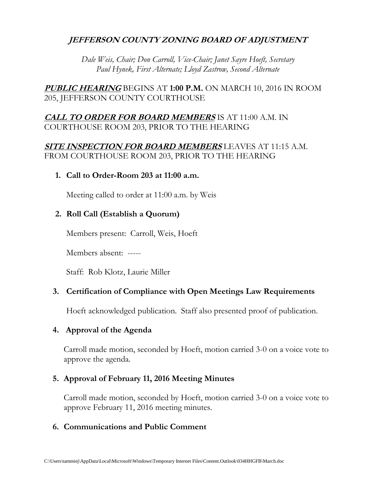# **JEFFERSON COUNTY ZONING BOARD OF ADJUSTMENT**

*Dale Weis, Chair; Don Carroll, Vice-Chair; Janet Sayre Hoeft, Secretary Paul Hynek, First Alternate; Lloyd Zastrow, Second Alternate*

**PUBLIC HEARING** BEGINS AT **1:00 P.M.** ON MARCH 10, 2016 IN ROOM 205, JEFFERSON COUNTY COURTHOUSE

## **CALL TO ORDER FOR BOARD MEMBERS** IS AT 11:00 A.M. IN COURTHOUSE ROOM 203, PRIOR TO THE HEARING

## **SITE INSPECTION FOR BOARD MEMBERS** LEAVES AT 11:15 A.M. FROM COURTHOUSE ROOM 203, PRIOR TO THE HEARING

**1. Call to Order-Room 203 at 11:00 a.m.**

Meeting called to order at 11:00 a.m. by Weis

## **2. Roll Call (Establish a Quorum)**

Members present: Carroll, Weis, Hoeft

Members absent: -----

Staff: Rob Klotz, Laurie Miller

## **3. Certification of Compliance with Open Meetings Law Requirements**

Hoeft acknowledged publication. Staff also presented proof of publication.

#### **4. Approval of the Agenda**

Carroll made motion, seconded by Hoeft, motion carried 3-0 on a voice vote to approve the agenda.

## **5. Approval of February 11, 2016 Meeting Minutes**

Carroll made motion, seconded by Hoeft, motion carried 3-0 on a voice vote to approve February 11, 2016 meeting minutes.

#### **6. Communications and Public Comment**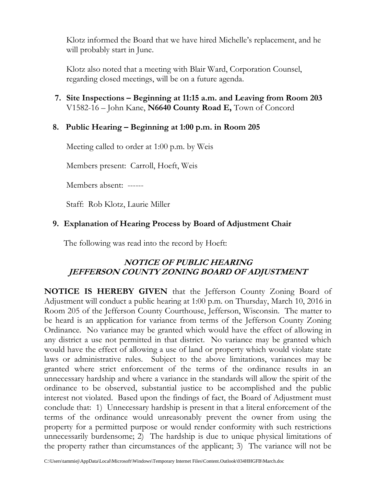Klotz informed the Board that we have hired Michelle's replacement, and he will probably start in June.

Klotz also noted that a meeting with Blair Ward, Corporation Counsel, regarding closed meetings, will be on a future agenda.

 **7. Site Inspections – Beginning at 11:15 a.m. and Leaving from Room 203** V1582-16 – John Kane, **N6640 County Road E,** Town of Concord

## **8. Public Hearing – Beginning at 1:00 p.m. in Room 205**

Meeting called to order at 1:00 p.m. by Weis

Members present: Carroll, Hoeft, Weis

Members absent: ------

Staff: Rob Klotz, Laurie Miller

# **9. Explanation of Hearing Process by Board of Adjustment Chair**

The following was read into the record by Hoeft:

# **NOTICE OF PUBLIC HEARING JEFFERSON COUNTY ZONING BOARD OF ADJUSTMENT**

**NOTICE IS HEREBY GIVEN** that the Jefferson County Zoning Board of Adjustment will conduct a public hearing at 1:00 p.m. on Thursday, March 10, 2016 in Room 205 of the Jefferson County Courthouse, Jefferson, Wisconsin. The matter to be heard is an application for variance from terms of the Jefferson County Zoning Ordinance. No variance may be granted which would have the effect of allowing in any district a use not permitted in that district. No variance may be granted which would have the effect of allowing a use of land or property which would violate state laws or administrative rules. Subject to the above limitations, variances may be granted where strict enforcement of the terms of the ordinance results in an unnecessary hardship and where a variance in the standards will allow the spirit of the ordinance to be observed, substantial justice to be accomplished and the public interest not violated. Based upon the findings of fact, the Board of Adjustment must conclude that: 1) Unnecessary hardship is present in that a literal enforcement of the terms of the ordinance would unreasonably prevent the owner from using the property for a permitted purpose or would render conformity with such restrictions unnecessarily burdensome; 2) The hardship is due to unique physical limitations of the property rather than circumstances of the applicant; 3) The variance will not be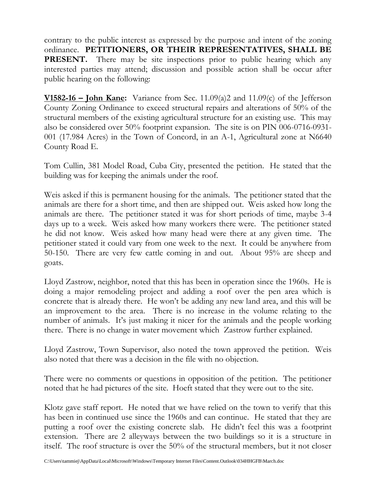contrary to the public interest as expressed by the purpose and intent of the zoning ordinance. **PETITIONERS, OR THEIR REPRESENTATIVES, SHALL BE PRESENT.** There may be site inspections prior to public hearing which any interested parties may attend; discussion and possible action shall be occur after public hearing on the following:

**V1582-16 – John Kane:** Variance from Sec. 11.09(a)2 and 11.09(c) of the Jefferson County Zoning Ordinance to exceed structural repairs and alterations of 50% of the structural members of the existing agricultural structure for an existing use. This may also be considered over 50% footprint expansion. The site is on PIN 006-0716-0931- 001 (17.984 Acres) in the Town of Concord, in an A-1, Agricultural zone at N6640 County Road E.

Tom Cullin, 381 Model Road, Cuba City, presented the petition. He stated that the building was for keeping the animals under the roof.

Weis asked if this is permanent housing for the animals. The petitioner stated that the animals are there for a short time, and then are shipped out. Weis asked how long the animals are there. The petitioner stated it was for short periods of time, maybe 3-4 days up to a week. Weis asked how many workers there were. The petitioner stated he did not know. Weis asked how many head were there at any given time. The petitioner stated it could vary from one week to the next. It could be anywhere from 50-150. There are very few cattle coming in and out. About 95% are sheep and goats.

Lloyd Zastrow, neighbor, noted that this has been in operation since the 1960s. He is doing a major remodeling project and adding a roof over the pen area which is concrete that is already there. He won't be adding any new land area, and this will be an improvement to the area. There is no increase in the volume relating to the number of animals. It's just making it nicer for the animals and the people working there. There is no change in water movement which Zastrow further explained.

Lloyd Zastrow, Town Supervisor, also noted the town approved the petition. Weis also noted that there was a decision in the file with no objection.

There were no comments or questions in opposition of the petition. The petitioner noted that he had pictures of the site. Hoeft stated that they were out to the site.

Klotz gave staff report. He noted that we have relied on the town to verify that this has been in continued use since the 1960s and can continue. He stated that they are putting a roof over the existing concrete slab. He didn't feel this was a footprint extension. There are 2 alleyways between the two buildings so it is a structure in itself. The roof structure is over the 50% of the structural members, but it not closer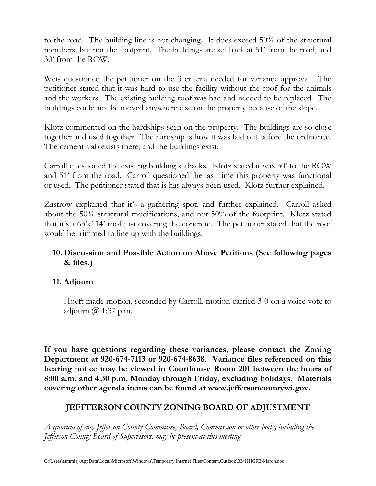to the road. The building line is not changing. It does exceed 50% of the structural members, but not the footprint. The buildings are set back at 51' from the road, and 30' from the ROW.

Weis questioned the petitioner on the 3 criteria needed for variance approval. The petitioner stated that it was hard to use the facility without the roof for the animals and the workers. The existing building roof was bad and needed to be replaced. The buildings could not be moved anywhere else on the property because of the slope.

Klotz commented on the hardships seen on the property. The buildings are so close together and used together. The hardship is how it was laid out before the ordinance. The cement slab exists there, and the buildings exist.

Carroll questioned the existing building setbacks. Klotz stated it was 30' to the ROW and 51' from the road. Carroll questioned the last time this property was functional or used. The petitioner stated that is has always been used. Klotz further explained.

Zastrow explained that it's a gathering spot, and further explained. Carroll asked about the 50% structural modifications, and not 50% of the footprint. Klotz stated that it's a 63'x114' roof just covering the concrete. The petitioner stated that the roof would be trimmed to line up with the buildings.

## **10. Discussion and Possible Action on Above Petitions (See following pages & files.)**

# **11. Adjourn**

Hoeft made motion, seconded by Carroll, motion carried 3-0 on a voice vote to adjourn  $\omega$  1:37 p.m.

**If you have questions regarding these variances, please contact the Zoning Department at 920-674-7113 or 920-674-8638. Variance files referenced on this hearing notice may be viewed in Courthouse Room 201 between the hours of 8:00 a.m. and 4:30 p.m. Monday through Friday, excluding holidays. Materials covering other agenda items can be found at www.jeffersoncountywi.gov.**

# **JEFFFERSON COUNTY ZONING BOARD OF ADJUSTMENT**

*A quorum of any Jefferson County Committee, Board, Commission or other body, including the Jefferson County Board of Supervisors, may be present at this meeting.*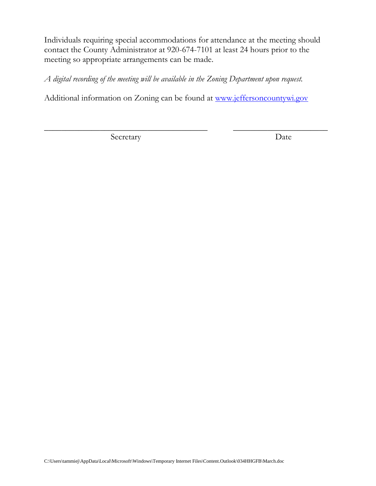Individuals requiring special accommodations for attendance at the meeting should contact the County Administrator at 920-674-7101 at least 24 hours prior to the meeting so appropriate arrangements can be made.

*A digital recording of the meeting will be available in the Zoning Department upon request.*

Additional information on Zoning can be found at [www.jeffersoncountywi.gov](http://www.jeffersoncountywi.gov/)

 $\overline{\phantom{a}}$  , and the contract of the contract of the contract of the contract of the contract of the contract of the contract of the contract of the contract of the contract of the contract of the contract of the contrac

Secretary Date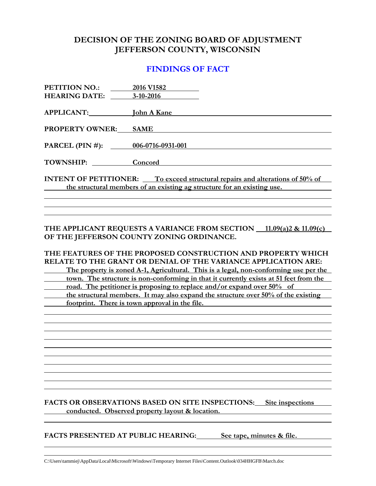## **DECISION OF THE ZONING BOARD OF ADJUSTMENT JEFFERSON COUNTY, WISCONSIN**

#### **FINDINGS OF FACT**

| PETITION NO.:                                                                       | 2016 V1582         |
|-------------------------------------------------------------------------------------|--------------------|
| <b>HEARING DATE:</b>                                                                | $3-10-2016$        |
|                                                                                     |                    |
| <b>APPLICANT:</b>                                                                   | <b>John A Kane</b> |
| <b>PROPERTY OWNER:</b>                                                              | <b>SAME</b>        |
|                                                                                     |                    |
| PARCEL (PIN #): 006-0716-0931-001                                                   |                    |
| TOWNSHIP:                                                                           | Concord            |
|                                                                                     |                    |
| <b>INTENT OF PETITIONER:</b> To exceed structural repairs and alterations of 50% of |                    |
| the structural members of an existing ag structure for an existing use.             |                    |
|                                                                                     |                    |

**THE APPLICANT REQUESTS A VARIANCE FROM SECTION 11.09(a)2 & 11.09(c) OF THE JEFFERSON COUNTY ZONING ORDINANCE.**

**THE FEATURES OF THE PROPOSED CONSTRUCTION AND PROPERTY WHICH RELATE TO THE GRANT OR DENIAL OF THE VARIANCE APPLICATION ARE: The property is zoned A-1, Agricultural. This is a legal, non-conforming use per the town. The structure is non-conforming in that it currently exists at 51 feet from the road. The petitioner is proposing to replace and/or expand over 50% of**

**the structural members. It may also expand the structure over 50% of the existing footprint. There is town approval in the file.**

**FACTS OR OBSERVATIONS BASED ON SITE INSPECTIONS: Site inspections conducted. Observed property layout & location.**

**FACTS PRESENTED AT PUBLIC HEARING: See tape, minutes & file.**